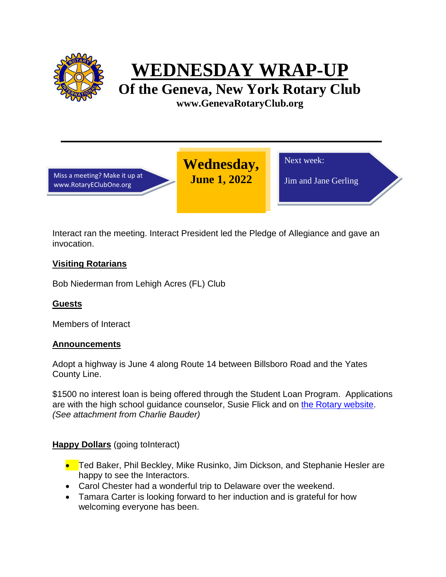

**WEDNESDAY WRAP-UP**

**Of the Geneva, New York Rotary Club www.GenevaRotaryClub.org**

Miss a meeting? Make it up at www.RotaryEClubOne.org

Next week:

Jim and Jane Gerling

Interact ran the meeting. Interact President led the Pledge of Allegiance and gave an invocation.

**Wednesday, June 1, 2022** 

# **Visiting Rotarians**

Bob Niederman from Lehigh Acres (FL) Club

## **Guests**

Members of Interact

## **Announcements**

Adopt a highway is June 4 along Route 14 between Billsboro Road and the Yates County Line.

\$1500 no interest loan is being offered through the Student Loan Program. Applications are with the high school guidance counselor, Susie Flick and on [the Rotary website.](https://genevarotaryclub.org/2022-student-loan-program/) *(See attachment from Charlie Bauder)*

**Happy Dollars** (going toInteract)

- Ted Baker, Phil Beckley, Mike Rusinko, Jim Dickson, and Stephanie Hesler are happy to see the Interactors.
- Carol Chester had a wonderful trip to Delaware over the weekend.
- Tamara Carter is looking forward to her induction and is grateful for how welcoming everyone has been.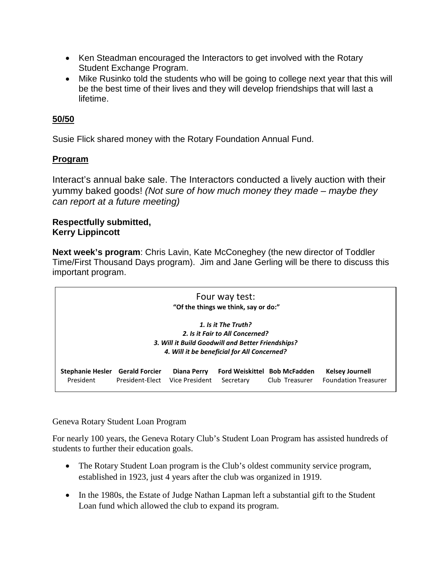- Ken Steadman encouraged the Interactors to get involved with the Rotary Student Exchange Program.
- Mike Rusinko told the students who will be going to college next year that this will be the best time of their lives and they will develop friendships that will last a lifetime.

## **50/50**

Susie Flick shared money with the Rotary Foundation Annual Fund.

## **Program**

Interact's annual bake sale. The Interactors conducted a lively auction with their yummy baked goods! *(Not sure of how much money they made – maybe they can report at a future meeting)*

#### **Respectfully submitted, Kerry Lippincott**

**Next week's program**: Chris Lavin, Kate McConeghey (the new director of Toddler Time/First Thousand Days program). Jim and Jane Gerling will be there to discuss this important program.

| Four way test:<br>"Of the things we think, say or do:"                                                                                                     |                                          |                               |           |                                                       |                                                       |
|------------------------------------------------------------------------------------------------------------------------------------------------------------|------------------------------------------|-------------------------------|-----------|-------------------------------------------------------|-------------------------------------------------------|
| 1. Is it The Truth?<br>2. Is it Fair to All Concerned?<br>3. Will it Build Goodwill and Better Friendships?<br>4. Will it be beneficial for All Concerned? |                                          |                               |           |                                                       |                                                       |
| <b>Stephanie Hesler</b><br>President                                                                                                                       | <b>Gerald Forcier</b><br>President-Elect | Diana Perry<br>Vice President | Secretary | <b>Ford Weiskittel Bob McFadden</b><br>Club Treasurer | <b>Kelsey Journell</b><br><b>Foundation Treasurer</b> |

Geneva Rotary Student Loan Program 

For nearly 100 years, the Geneva Rotary Club's Student Loan Program has assisted hundreds of  students to further their education goals. 

- The Rotary Student Loan program is the Club's oldest community service program, established in 1923, just 4 years after the club was organized in 1919.
- In the 1980s, the Estate of Judge Nathan Lapman left a substantial gift to the Student Loan fund which allowed the club to expand its program.